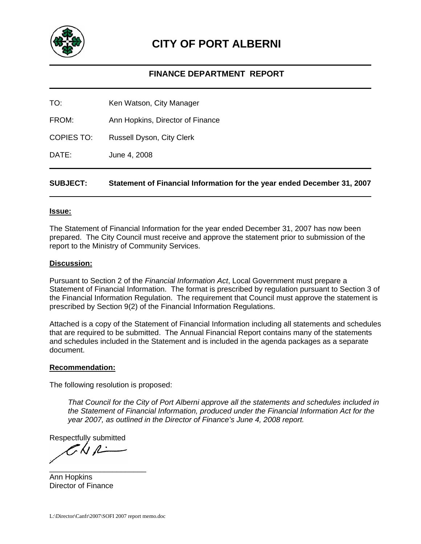

# **CITY OF PORT ALBERNI**

# **FINANCE DEPARTMENT REPORT**

TO: Ken Watson, City Manager

FROM: Ann Hopkins, Director of Finance

COPIES TO: Russell Dyson, City Clerk

DATE: June 4, 2008

## **SUBJECT: Statement of Financial Information for the year ended December 31, 2007**

#### **Issue:**

The Statement of Financial Information for the year ended December 31, 2007 has now been prepared. The City Council must receive and approve the statement prior to submission of the report to the Ministry of Community Services.

#### **Discussion:**

Pursuant to Section 2 of the *Financial Information Act*, Local Government must prepare a Statement of Financial Information. The format is prescribed by regulation pursuant to Section 3 of the Financial Information Regulation. The requirement that Council must approve the statement is prescribed by Section 9(2) of the Financial Information Regulations.

Attached is a copy of the Statement of Financial Information including all statements and schedules that are required to be submitted. The Annual Financial Report contains many of the statements and schedules included in the Statement and is included in the agenda packages as a separate document.

#### **Recommendation:**

The following resolution is proposed:

*That Council for the City of Port Alberni approve all the statements and schedules included in the Statement of Financial Information, produced under the Financial Information Act for the year 2007, as outlined in the Director of Finance's June 4, 2008 report.* 

Respectfully submitted

 $7$ ki p $-$ \_\_\_\_\_\_\_\_\_\_\_\_\_\_\_\_\_\_\_\_\_\_\_

Ann Hopkins Director of Finance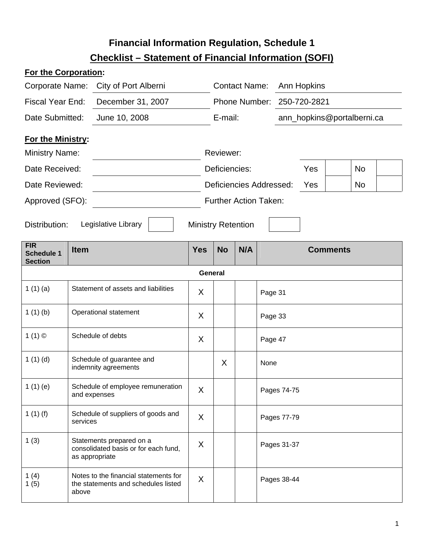# **Financial Information Regulation, Schedule 1 Checklist – Statement of Financial Information (SOFI)**

# **For the Corporation:**

| Corporate Name:                                   |               | City of Port Alberni                                                               |            | <b>Contact Name:</b>         |     |         | Ann Hopkins  |                            |                 |    |  |
|---------------------------------------------------|---------------|------------------------------------------------------------------------------------|------------|------------------------------|-----|---------|--------------|----------------------------|-----------------|----|--|
| <b>Fiscal Year End:</b>                           |               | December 31, 2007                                                                  |            | Phone Number:                |     |         | 250-720-2821 |                            |                 |    |  |
| Date Submitted:                                   | June 10, 2008 |                                                                                    | E-mail:    |                              |     |         |              | ann_hopkins@portalberni.ca |                 |    |  |
| <b>For the Ministry:</b>                          |               |                                                                                    |            |                              |     |         |              |                            |                 |    |  |
| <b>Ministry Name:</b>                             |               |                                                                                    |            | Reviewer:                    |     |         |              |                            |                 |    |  |
| Date Received:                                    |               |                                                                                    |            | Deficiencies:                |     |         |              | Yes                        |                 | No |  |
| Date Reviewed:                                    |               |                                                                                    |            | Deficiencies Addressed:      |     |         |              | Yes                        |                 | No |  |
| Approved (SFO):                                   |               |                                                                                    |            | <b>Further Action Taken:</b> |     |         |              |                            |                 |    |  |
|                                                   |               |                                                                                    |            |                              |     |         |              |                            |                 |    |  |
| Distribution:                                     |               | Legislative Library                                                                |            | <b>Ministry Retention</b>    |     |         |              |                            |                 |    |  |
| <b>FIR</b><br><b>Schedule 1</b><br><b>Section</b> | <b>Item</b>   |                                                                                    | <b>Yes</b> | <b>No</b>                    | N/A |         |              |                            | <b>Comments</b> |    |  |
|                                                   |               |                                                                                    |            | General                      |     |         |              |                            |                 |    |  |
| 1(1)(a)                                           |               | Statement of assets and liabilities                                                | X          |                              |     | Page 31 |              |                            |                 |    |  |
| 1(1)(b)                                           |               | Operational statement                                                              | X          |                              |     | Page 33 |              |                            |                 |    |  |
| 1(1)                                              |               | Schedule of debts                                                                  | X          |                              |     | Page 47 |              |                            |                 |    |  |
| 1(1)(d)                                           |               | Schedule of guarantee and<br>indemnity agreements                                  |            | X                            |     | None    |              |                            |                 |    |  |
| 1(1)(e)                                           |               | Schedule of employee remuneration<br>and expenses                                  | X          |                              |     |         | Pages 74-75  |                            |                 |    |  |
| 1 $(1)(f)$                                        | services      | Schedule of suppliers of goods and                                                 | X          |                              |     |         | Pages 77-79  |                            |                 |    |  |
| 1(3)                                              |               | Statements prepared on a<br>consolidated basis or for each fund,<br>as appropriate | X          |                              |     |         | Pages 31-37  |                            |                 |    |  |
| 1 $(4)$<br>1(5)                                   | above         | Notes to the financial statements for<br>the statements and schedules listed       | X          |                              |     |         | Pages 38-44  |                            |                 |    |  |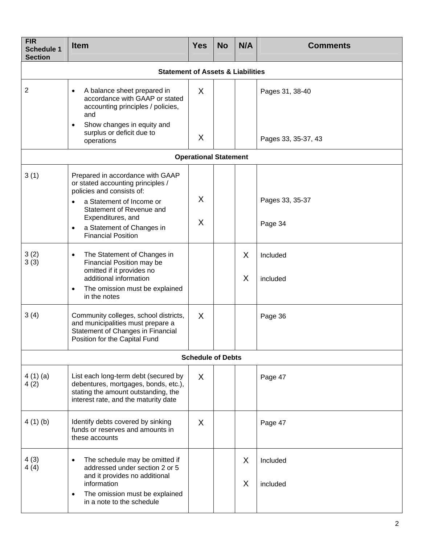| <b>FIR</b><br><b>Schedule 1</b><br><b>Section</b> | <b>Item</b>                                                                                                                                                                                                                                                         | <b>Yes</b>               | <b>No</b> | N/A    | <b>Comments</b>                        |  |  |
|---------------------------------------------------|---------------------------------------------------------------------------------------------------------------------------------------------------------------------------------------------------------------------------------------------------------------------|--------------------------|-----------|--------|----------------------------------------|--|--|
|                                                   | <b>Statement of Assets &amp; Liabilities</b>                                                                                                                                                                                                                        |                          |           |        |                                        |  |  |
| 2                                                 | A balance sheet prepared in<br>$\bullet$<br>accordance with GAAP or stated<br>accounting principles / policies,<br>and<br>Show changes in equity and<br>$\bullet$<br>surplus or deficit due to<br>operations                                                        | X<br>X                   |           |        | Pages 31, 38-40<br>Pages 33, 35-37, 43 |  |  |
| <b>Operational Statement</b>                      |                                                                                                                                                                                                                                                                     |                          |           |        |                                        |  |  |
| 3(1)                                              | Prepared in accordance with GAAP<br>or stated accounting principles /<br>policies and consists of:<br>a Statement of Income or<br>$\bullet$<br>Statement of Revenue and<br>Expenditures, and<br>a Statement of Changes in<br>$\bullet$<br><b>Financial Position</b> | X<br>X                   |           |        | Pages 33, 35-37<br>Page 34             |  |  |
| 3(2)<br>3(3)                                      | The Statement of Changes in<br>$\bullet$<br>Financial Position may be<br>omitted if it provides no<br>additional information<br>The omission must be explained<br>$\bullet$<br>in the notes                                                                         |                          |           | X<br>X | Included<br>included                   |  |  |
| 3(4)                                              | Community colleges, school districts,<br>and municipalities must prepare a<br>Statement of Changes in Financial<br>Position for the Capital Fund                                                                                                                    | X                        |           |        | Page 36                                |  |  |
|                                                   |                                                                                                                                                                                                                                                                     | <b>Schedule of Debts</b> |           |        |                                        |  |  |
| 4(1)(a)<br>4(2)                                   | List each long-term debt (secured by<br>debentures, mortgages, bonds, etc.),<br>stating the amount outstanding, the<br>interest rate, and the maturity date                                                                                                         | X                        |           |        | Page 47                                |  |  |
| 4(1)(b)                                           | Identify debts covered by sinking<br>funds or reserves and amounts in<br>these accounts                                                                                                                                                                             | X                        |           |        | Page 47                                |  |  |
| 4(3)<br>4(4)                                      | The schedule may be omitted if<br>$\bullet$<br>addressed under section 2 or 5<br>and it provides no additional<br>information<br>The omission must be explained<br>$\bullet$<br>in a note to the schedule                                                           |                          |           | X<br>X | Included<br>included                   |  |  |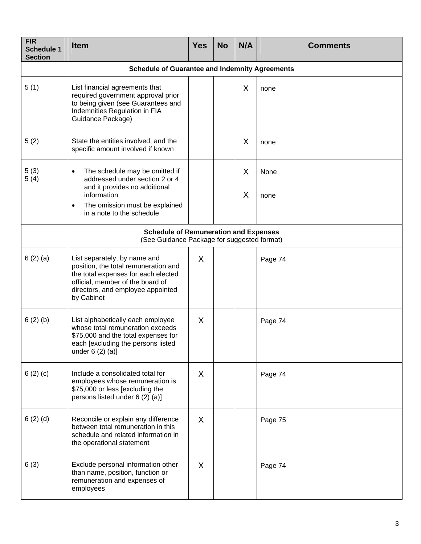| <b>FIR</b><br><b>Schedule 1</b><br><b>Section</b> | <b>Item</b>                                                                                                                                                                                               | <b>Yes</b>   | <b>No</b> | N/A    | <b>Comments</b> |  |  |  |
|---------------------------------------------------|-----------------------------------------------------------------------------------------------------------------------------------------------------------------------------------------------------------|--------------|-----------|--------|-----------------|--|--|--|
|                                                   | <b>Schedule of Guarantee and Indemnity Agreements</b>                                                                                                                                                     |              |           |        |                 |  |  |  |
| 5(1)                                              | List financial agreements that<br>required government approval prior<br>to being given (see Guarantees and<br>Indemnities Regulation in FIA<br>Guidance Package)                                          |              |           | X      | none            |  |  |  |
| 5(2)                                              | State the entities involved, and the<br>specific amount involved if known                                                                                                                                 |              |           | X      | none            |  |  |  |
| 5(3)<br>5(4)                                      | The schedule may be omitted if<br>$\bullet$<br>addressed under section 2 or 4<br>and it provides no additional<br>information<br>The omission must be explained<br>$\bullet$<br>in a note to the schedule |              |           | X<br>X | None<br>none    |  |  |  |
|                                                   | <b>Schedule of Remuneration and Expenses</b><br>(See Guidance Package for suggested format)                                                                                                               |              |           |        |                 |  |  |  |
| 6(2)(a)                                           | List separately, by name and<br>position, the total remuneration and<br>the total expenses for each elected<br>official, member of the board of<br>directors, and employee appointed<br>by Cabinet        | X            |           |        | Page 74         |  |  |  |
| 6(2)(b)                                           | List alphabetically each employee<br>whose total remuneration exceeds<br>\$75,000 and the total expenses for<br>each [excluding the persons listed<br>under $6(2)(a)$ ]                                   | X            |           |        | Page 74         |  |  |  |
| 6(2)(c)                                           | Include a consolidated total for<br>employees whose remuneration is<br>\$75,000 or less [excluding the<br>persons listed under 6 (2) (a)]                                                                 | X            |           |        | Page 74         |  |  |  |
| 6(2)(d)                                           | Reconcile or explain any difference<br>between total remuneration in this<br>schedule and related information in<br>the operational statement                                                             | $\mathsf{X}$ |           |        | Page 75         |  |  |  |
| 6(3)                                              | Exclude personal information other<br>than name, position, function or<br>remuneration and expenses of<br>employees                                                                                       | X            |           |        | Page 74         |  |  |  |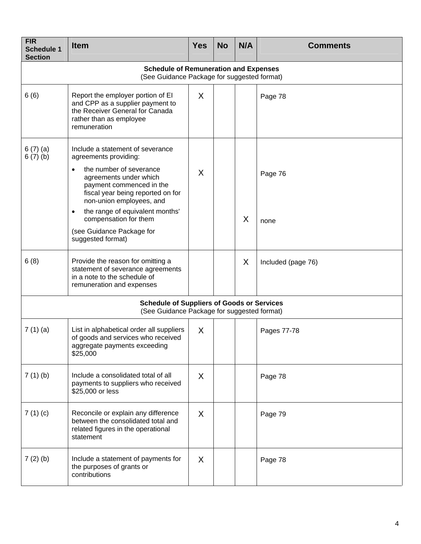| <b>FIR</b><br><b>Schedule 1</b><br><b>Section</b> | <b>Item</b>                                                                                                                                                                                                                                                                                       | <b>Yes</b>   | <b>No</b> | N/A | <b>Comments</b>    |
|---------------------------------------------------|---------------------------------------------------------------------------------------------------------------------------------------------------------------------------------------------------------------------------------------------------------------------------------------------------|--------------|-----------|-----|--------------------|
|                                                   | <b>Schedule of Remuneration and Expenses</b><br>(See Guidance Package for suggested format)                                                                                                                                                                                                       |              |           |     |                    |
| 6(6)                                              | Report the employer portion of EI<br>and CPP as a supplier payment to<br>the Receiver General for Canada<br>rather than as employee<br>remuneration                                                                                                                                               | X            |           |     | Page 78            |
| 6(7)(a)<br>6(7)(b)                                | Include a statement of severance<br>agreements providing:<br>the number of severance<br>$\bullet$<br>agreements under which<br>payment commenced in the<br>fiscal year being reported on for<br>non-union employees, and<br>the range of equivalent months'<br>$\bullet$<br>compensation for them | X            |           | X   | Page 76            |
|                                                   | (see Guidance Package for<br>suggested format)                                                                                                                                                                                                                                                    |              |           |     | none               |
| 6(8)                                              | Provide the reason for omitting a<br>statement of severance agreements<br>in a note to the schedule of<br>remuneration and expenses                                                                                                                                                               |              |           | X   | Included (page 76) |
|                                                   | <b>Schedule of Suppliers of Goods or Services</b><br>(See Guidance Package for suggested format)                                                                                                                                                                                                  |              |           |     |                    |
| 7(1)(a)                                           | List in alphabetical order all suppliers<br>of goods and services who received<br>aggregate payments exceeding<br>\$25,000                                                                                                                                                                        | X            |           |     | Pages 77-78        |
| 7(1)(b)                                           | Include a consolidated total of all<br>payments to suppliers who received<br>\$25,000 or less                                                                                                                                                                                                     | X            |           |     | Page 78            |
| 7(1)(c)                                           | Reconcile or explain any difference<br>between the consolidated total and<br>related figures in the operational<br>statement                                                                                                                                                                      | X            |           |     | Page 79            |
| 7(2)(b)                                           | Include a statement of payments for<br>the purposes of grants or<br>contributions                                                                                                                                                                                                                 | $\mathsf{X}$ |           |     | Page 78            |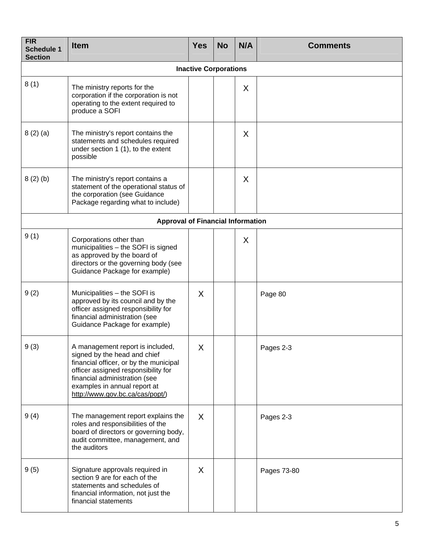| <b>FIR</b><br><b>Schedule 1</b><br><b>Section</b> | <b>Item</b>                                                                                                                                                                                                                                           | <b>Yes</b>                   | <b>No</b> | N/A | <b>Comments</b> |
|---------------------------------------------------|-------------------------------------------------------------------------------------------------------------------------------------------------------------------------------------------------------------------------------------------------------|------------------------------|-----------|-----|-----------------|
|                                                   |                                                                                                                                                                                                                                                       | <b>Inactive Corporations</b> |           |     |                 |
| 8(1)                                              | The ministry reports for the<br>corporation if the corporation is not<br>operating to the extent required to<br>produce a SOFI                                                                                                                        |                              |           | X   |                 |
| 8(2)(a)                                           | The ministry's report contains the<br>statements and schedules required<br>under section 1 (1), to the extent<br>possible                                                                                                                             |                              |           | X   |                 |
| 8(2)(b)                                           | The ministry's report contains a<br>statement of the operational status of<br>the corporation (see Guidance<br>Package regarding what to include)                                                                                                     |                              |           | X   |                 |
|                                                   | <b>Approval of Financial Information</b>                                                                                                                                                                                                              |                              |           |     |                 |
| 9(1)                                              | Corporations other than<br>municipalities - the SOFI is signed<br>as approved by the board of<br>directors or the governing body (see<br>Guidance Package for example)                                                                                |                              |           | X   |                 |
| 9(2)                                              | Municipalities - the SOFI is<br>approved by its council and by the<br>officer assigned responsibility for<br>financial administration (see<br>Guidance Package for example)                                                                           | X                            |           |     | Page 80         |
| 9(3)                                              | A management report is included,<br>signed by the head and chief<br>financial officer, or by the municipal<br>officer assigned responsibility for<br>financial administration (see<br>examples in annual report at<br>http://www.gov.bc.ca/cas/popt/) | X                            |           |     | Pages 2-3       |
| 9(4)                                              | The management report explains the<br>roles and responsibilities of the<br>board of directors or governing body,<br>audit committee, management, and<br>the auditors                                                                                  | X                            |           |     | Pages 2-3       |
| 9(5)                                              | Signature approvals required in<br>section 9 are for each of the<br>statements and schedules of<br>financial information, not just the<br>financial statements                                                                                        | $\sf X$                      |           |     | Pages 73-80     |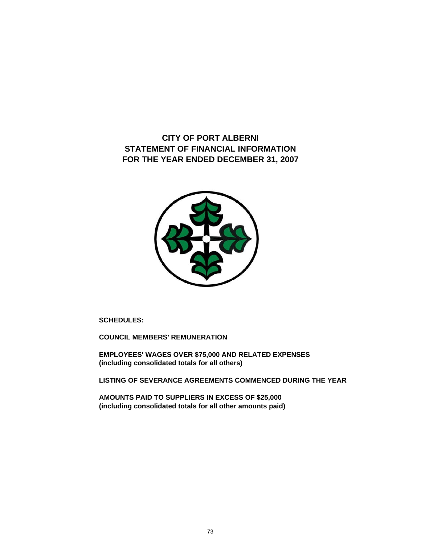**CITY OF PORT ALBERNI STATEMENT OF FINANCIAL INFORMATION FOR THE YEAR ENDED DECEMBER 31, 2007**



**SCHEDULES:**

**COUNCIL MEMBERS' REMUNERATION**

**EMPLOYEES' WAGES OVER \$75,000 AND RELATED EXPENSES (including consolidated totals for all others)**

**LISTING OF SEVERANCE AGREEMENTS COMMENCED DURING THE YEAR**

**AMOUNTS PAID TO SUPPLIERS IN EXCESS OF \$25,000 (including consolidated totals for all other amounts paid)**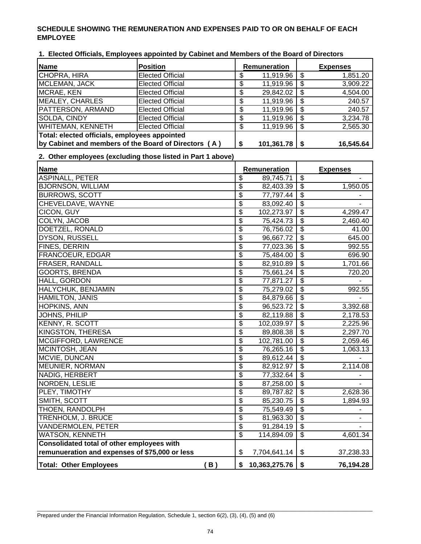# **SCHEDULE SHOWING THE REMUNERATION AND EXPENSES PAID TO OR ON BEHALF OF EACH EMPLOYEE**

| 1. Elected Officials, Employees appointed by Cabinet and Members of the Board of Directors |  |  |  |  |
|--------------------------------------------------------------------------------------------|--|--|--|--|
|--------------------------------------------------------------------------------------------|--|--|--|--|

| <b>Name</b>                                   | <b>Position</b>                                       | <b>Remuneration</b> | <b>Expenses</b> |
|-----------------------------------------------|-------------------------------------------------------|---------------------|-----------------|
| CHOPRA, HIRA                                  | <b>Elected Official</b>                               | 11,919.96           | 1,851.20        |
| MCLEMAN, JACK                                 | <b>Elected Official</b>                               | 11,919.96           | 3,909.22        |
| MCRAE, KEN                                    | <b>Elected Official</b>                               | 29,842.02           | 4,504.00        |
| MEALEY, CHARLES                               | <b>Elected Official</b>                               | 11,919.96           | 240.57          |
| PATTERSON, ARMAND                             | <b>Elected Official</b>                               | 11,919.96           | 240.57          |
| <b>SOLDA, CINDY</b>                           | <b>Elected Official</b>                               | 11,919.96           | 3,234.78        |
| <b>WHITEMAN, KENNETH</b>                      | <b>Elected Official</b>                               | 11,919.96           | 2,565.30        |
| Total: elected officials, employees appointed |                                                       |                     |                 |
|                                               | (by Cabinet and members of the Board of Directors (A) | $101,361.78$   \$   | 16,545.64       |

#### **2. Other employees (excluding those listed in Part 1 above)**

| <b>Name</b>                                    | Remuneration                                  |                           | <b>Expenses</b> |
|------------------------------------------------|-----------------------------------------------|---------------------------|-----------------|
| <b>ASPINALL, PETER</b>                         | \$<br>89,745.71                               | $\overline{\mathfrak{s}}$ |                 |
| <b>BJORNSON, WILLIAM</b>                       | \$<br>82,403.39                               | $\overline{\$}$           | 1,950.05        |
| <b>BURROWS, SCOTT</b>                          | \$<br>77,797.44                               | \$                        |                 |
| CHEVELDAVE, WAYNE                              | \$<br>83,092.40                               | $\overline{\mathcal{S}}$  |                 |
| CICON, GUY                                     | $\overline{\mathcal{S}}$<br>102,273.97        | $\overline{\mathbf{S}}$   | 4,299.47        |
| COLYN, JACOB                                   | \$<br>75,424.73                               | $\overline{\mathbf{s}}$   | 2,460.40        |
| DOETZEL, RONALD                                | \$<br>76,756.02                               | $\overline{\$}$           | 41.00           |
| DYSON, RUSSELL                                 | \$<br>96,667.72                               | $\overline{\$}$           | 645.00          |
| FINES, DERRIN                                  | \$<br>77,023.36                               | $\overline{\mathbf{3}}$   | 992.55          |
| FRANCOEUR, EDGAR                               | \$<br>75,484.00                               | \$                        | 696.90          |
| <b>FRASER, RANDALL</b>                         | $\overline{\$}$<br>82,910.89                  | $\overline{\mathbb{S}}$   | 1,701.66        |
| <b>GOORTS, BRENDA</b>                          | \$<br>75,661.24                               | $\overline{\$}$           | 720.20          |
| HALL, GORDON                                   | \$<br>77,871.27                               | $\overline{\$}$           |                 |
| HALYCHUK, BENJAMIN                             | \$<br>75,279.02                               | $\overline{\$}$           | 992.55          |
| <b>HAMILTON, JANIS</b>                         | \$<br>84,879.66                               | $\overline{\mathbf{e}}$   |                 |
| HOPKINS, ANN                                   | \$<br>96,523.72                               | $\overline{\mathbf{S}}$   | 3,392.68        |
| JOHNS, PHILIP                                  | \$<br>82,119.88                               | \$                        | 2,178.53        |
| <b>KENNY, R. SCOTT</b>                         | $\overline{\mathcal{S}}$<br>102,039.97        | $\overline{\mathcal{S}}$  | 2,225.96        |
| KINGSTON, THERESA                              | \$<br>89,808.38                               | $\overline{\mathcal{S}}$  | 2,297.70        |
| MCGIFFORD, LAWRENCE                            | \$<br>102,781.00                              | $\overline{\mathbf{s}}$   | 2,059.46        |
| MCINTOSH, JEAN                                 | \$<br>76,265.16                               | $\overline{\mathcal{E}}$  | 1,063.13        |
| MCVIE, DUNCAN                                  | $\overline{\mathcal{S}}$<br>89,612.44         | $\overline{\$}$           |                 |
| MEUNIER, NORMAN                                | $\overline{\$}$<br>82,912.97                  | $\overline{\mathbb{S}}$   | 2,114.08        |
| NADIG, HERBERT                                 | \$<br>77,332.64                               | $\overline{\$}$           |                 |
| NORDEN, LESLIE                                 | \$<br>87,258.00                               | $\overline{\$}$           |                 |
| PLEY, TIMOTHY                                  | \$<br>89,787.82                               | $\overline{\mathbf{e}}$   | 2,628.36        |
| SMITH, SCOTT                                   | \$<br>85,230.75                               | $\overline{\mathbf{e}}$   | 1,894.93        |
| THOEN, RANDOLPH                                | \$<br>75,549.49                               | $\overline{\mathbf{3}}$   |                 |
| TRENHOLM, J. BRUCE                             | $\overline{\mathbb{S}}$<br>81,963.30          | $\overline{\mathcal{S}}$  |                 |
| VANDERMOLEN, PETER                             | $\overline{\boldsymbol{\theta}}$<br>91,284.19 | \$                        |                 |
| WATSON, KENNETH                                | \$<br>114,894.09                              | \$                        | 4,601.34        |
| Consolidated total of other employees with     |                                               |                           |                 |
| remunueration and expenses of \$75,000 or less | 7,704,641.14<br>\$                            | \$                        | 37,238.33       |
| <b>Total: Other Employees</b><br>(B)           | \$<br>10,363,275.76                           | \$                        | 76,194.28       |

 $\_$  , and the set of the set of the set of the set of the set of the set of the set of the set of the set of the set of the set of the set of the set of the set of the set of the set of the set of the set of the set of th

Prepared under the Financial Information Regulation, Schedule 1, section 6(2), (3), (4), (5) and (6)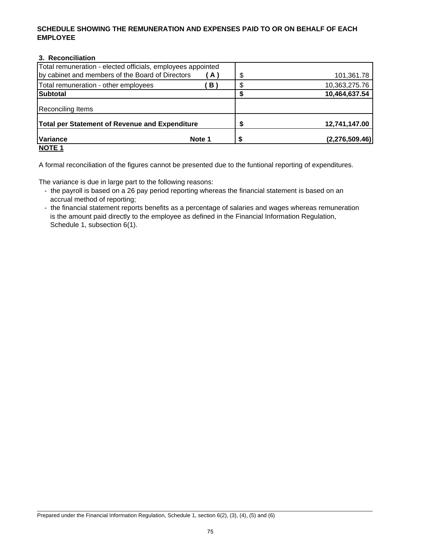### **SCHEDULE SHOWING THE REMUNERATION AND EXPENSES PAID TO OR ON BEHALF OF EACH EMPLOYEE**

### **3. Reconciliation**

| Total remuneration - elected officials, employees appointed |        |   |                |
|-------------------------------------------------------------|--------|---|----------------|
| by cabinet and members of the Board of Directors            | (A)    | S | 101,361.78     |
| Total remuneration - other employees                        | B.     |   | 10,363,275.76  |
| <b>Subtotal</b>                                             |        |   | 10,464,637.54  |
| Reconciling Items                                           |        |   |                |
| Total per Statement of Revenue and Expenditure              |        |   | 12,741,147.00  |
| <b>Variance</b>                                             | Note 1 |   | (2,276,509.46) |
| <b>NOTE 1</b>                                               |        |   |                |

A formal reconciliation of the figures cannot be presented due to the funtional reporting of expenditures.

The variance is due in large part to the following reasons:

- the payroll is based on a 26 pay period reporting whereas the financial statement is based on an accrual method of reporting;
- the financial statement reports benefits as a percentage of salaries and wages whereas remuneration is the amount paid directly to the employee as defined in the Financial Information Regulation, Schedule 1, subsection 6(1).

 $\_$  , and the set of the set of the set of the set of the set of the set of the set of the set of the set of the set of the set of the set of the set of the set of the set of the set of the set of the set of the set of th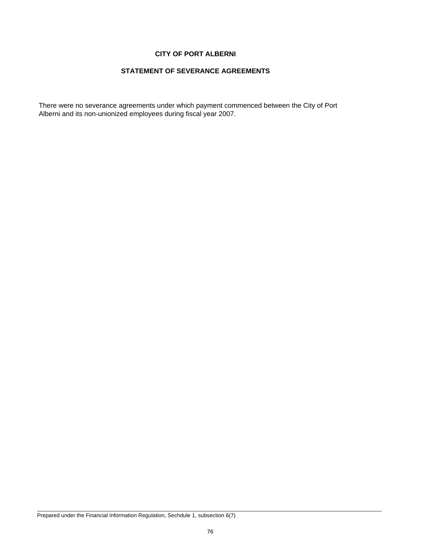#### **CITY OF PORT ALBERNI**

#### **STATEMENT OF SEVERANCE AGREEMENTS**

There were no severance agreements under which payment commenced between the City of Port Alberni and its non-unionized employees during fiscal year 2007.

Prepared under the Financial Information Regulation, Sechdule 1, subsection 6(7)

\_\_\_\_\_\_\_\_\_\_\_\_\_\_\_\_\_\_\_\_\_\_\_\_\_\_\_\_\_\_\_\_\_\_\_\_\_\_\_\_\_\_\_\_\_\_\_\_\_\_\_\_\_\_\_\_\_\_\_\_\_\_\_\_\_\_\_\_\_\_\_\_\_\_\_\_\_\_\_\_\_\_\_\_\_\_\_\_\_\_\_\_\_\_\_\_\_\_\_\_\_\_\_\_\_\_\_\_\_\_\_\_\_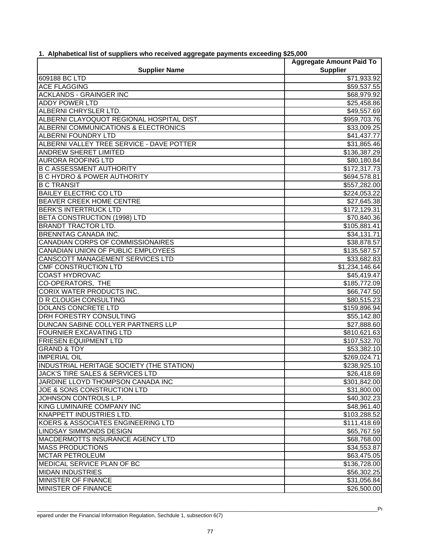|                                                  | <b>Aggregate Amount Paid To</b> |
|--------------------------------------------------|---------------------------------|
| <b>Supplier Name</b>                             | <b>Supplier</b>                 |
| 609188 BC LTD                                    | \$71,933.92                     |
| <b>ACE FLAGGING</b>                              | \$59,537.55                     |
| <b>ACKLANDS - GRAINGER INC</b>                   | \$68,979.92                     |
| <b>ADDY POWER LTD</b>                            | \$25,458.86                     |
| ALBERNI CHRYSLER LTD.                            | \$49,557.69                     |
| ALBERNI CLAYOQUOT REGIONAL HOSPITAL DIST.        | \$959,703.76                    |
| ALBERNI COMMUNICATIONS & ELECTRONICS             | \$33,009.25                     |
| <b>ALBERNI FOUNDRY LTD</b>                       | \$41,437.77                     |
| ALBERNI VALLEY TREE SERVICE - DAVE POTTER        | \$31,865.46                     |
| <b>ANDREW SHERET LIMITED</b>                     | \$136,387.29                    |
| <b>AURORA ROOFING LTD</b>                        | \$80,180.84                     |
| <b>B C ASSESSMENT AUTHORITY</b>                  | \$172,317.73                    |
| <b>B C HYDRO &amp; POWER AUTHORITY</b>           | \$694,578.81                    |
| <b>B C TRANSIT</b>                               | \$557,282.00                    |
| <b>BAILEY ELECTRIC CO LTD</b>                    | \$224,053.22                    |
| BEAVER CREEK HOME CENTRE                         | \$27,645.38                     |
| <b>BERK'S INTERTRUCK LTD</b>                     | \$172,129.31                    |
| BETA CONSTRUCTION (1998) LTD                     | \$70,840.36                     |
| <b>BRANDT TRACTOR LTD.</b>                       | \$105,881.41                    |
| <b>BRENNTAG CANADA INC.</b>                      | \$34,131.71                     |
| <b>CANADIAN CORPS OF COMMISSIONAIRES</b>         | \$38,878.57                     |
| CANADIAN UNION OF PUBLIC EMPLOYEES               | $\overline{$}135,587.57$        |
| <b>CANSCOTT MANAGEMENT SERVICES LTD</b>          | \$33,682.83                     |
| <b>CMF CONSTRUCTION LTD</b>                      | \$1,234,146.64                  |
| <b>COAST HYDROVAC</b>                            | \$45,419.47                     |
| <b>CO-OPERATORS, THE</b>                         | \$185,772.09                    |
| <b>CORIX WATER PRODUCTS INC.</b>                 | \$66,747.50                     |
| <b>D R CLOUGH CONSULTING</b>                     | \$80,515.23                     |
| <b>DOLANS CONCRETE LTD</b>                       | \$159,896.94                    |
| DRH FORESTRY CONSULTING                          | \$55,142.80                     |
| DUNCAN SABINE COLLYER PARTNERS LLP               | \$27,888.60                     |
| <b>FOURNIER EXCAVATING LTD</b>                   | \$810,621.63                    |
| <b>FRIESEN EQUIPMENT LTD</b>                     | \$107,532.70                    |
| <b>GRAND &amp; TOY</b>                           | \$53,382.10                     |
| <b>IMPERIAL OIL</b>                              | \$269,024.71                    |
| <b>INDUSTRIAL HERITAGE SOCIETY (THE STATION)</b> | \$238,925.10                    |
| JACK'S TIRE SALES & SERVICES LTD                 | \$26,418.69                     |
| JARDINE LLOYD THOMPSON CANADA INC                | \$301,842.00                    |
| JOE & SONS CONSTRUCTION LTD                      | \$31,800.00                     |
| JOHNSON CONTROLS L.P.                            | \$40,302.23                     |
| KING LUMINAIRE COMPANY INC                       | \$48,961.40                     |
| KNAPPETT INDUSTRIES LTD.                         | \$103,288.52                    |
| KOERS & ASSOCIATES ENGINEERING LTD               | \$111,418.69                    |
| <b>LINDSAY SIMMONDS DESIGN</b>                   | \$65,767.59                     |
| MACDERMOTTS INSURANCE AGENCY LTD                 | \$68,768.00                     |
| <b>MASS PRODUCTIONS</b>                          | \$34,553.87                     |
| <b>MCTAR PETROLEUM</b>                           | \$63,475.05                     |
| MEDICAL SERVICE PLAN OF BC                       | \$136,728.00                    |
| <b>MIDAN INDUSTRIES</b>                          | \$56,302.25                     |
| MINISTER OF FINANCE                              | \$31,056.84                     |
| MINISTER OF FINANCE                              | \$26,500.00                     |
|                                                  |                                 |

# **1. Alphabetical list of suppliers who received aggregate payments exceeding \$25,000**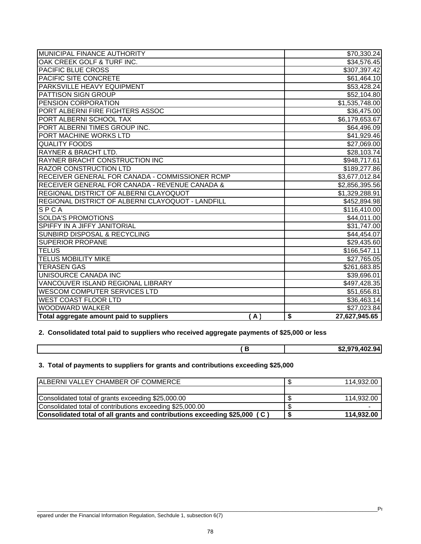| MUNICIPAL FINANCE AUTHORITY                       | \$70,330.24                              |
|---------------------------------------------------|------------------------------------------|
| OAK CREEK GOLF & TURF INC.                        | \$34,576.45                              |
| <b>PACIFIC BLUE CROSS</b>                         | \$307,397.42                             |
| PACIFIC SITE CONCRETE                             | \$61,464.10                              |
| PARKSVILLE HEAVY EQUIPMENT                        | \$53,428.24                              |
| PATTISON SIGN GROUP                               | \$52,104.80                              |
| PENSION CORPORATION                               | \$1,535,748.00                           |
| PORT ALBERNI FIRE FIGHTERS ASSOC                  | \$36,475.00                              |
| PORT ALBERNI SCHOOL TAX                           | \$6,179,653.67                           |
| PORT ALBERNI TIMES GROUP INC.                     | \$64,496.09                              |
| PORT MACHINE WORKS LTD                            | \$41,929.46                              |
| <b>QUALITY FOODS</b>                              | \$27,069.00                              |
| <b>RAYNER &amp; BRACHT LTD.</b>                   | \$28,103.74                              |
| RAYNER BRACHT CONSTRUCTION INC                    | \$948,717.61                             |
| <b>RAZOR CONSTRUCTION LTD</b>                     | \$189,277.86                             |
| RECEIVER GENERAL FOR CANADA - COMMISSIONER RCMP   | \$3,677,012.84                           |
| RECEIVER GENERAL FOR CANADA - REVENUE CANADA &    | \$2,856,395.56                           |
| REGIONAL DISTRICT OF ALBERNI CLAYOQUOT            | \$1,329,288.91                           |
| REGIONAL DISTRICT OF ALBERNI CLAYOQUOT - LANDFILL | \$452,894.98                             |
| SPCA                                              | \$116,410.00                             |
| <b>SOLDA'S PROMOTIONS</b>                         | \$44,011.00                              |
| <b>SPIFFY IN A JIFFY JANITORIAL</b>               | \$31,747.00                              |
| <b>SUNBIRD DISPOSAL &amp; RECYCLING</b>           | \$44,454.07                              |
| <b>SUPERIOR PROPANE</b>                           | \$29,435.60                              |
| <b>TELUS</b>                                      | \$166,547.11                             |
| <b>TELUS MOBILITY MIKE</b>                        | \$27,765.05                              |
| <b>TERASEN GAS</b>                                | \$261,683.85                             |
| <b>UNISOURCE CANADA INC</b>                       | \$39,696.01                              |
| VANCOUVER ISLAND REGIONAL LIBRARY                 | \$497,428.35                             |
| <b>WESCOM COMPUTER SERVICES LTD</b>               | \$51,656.81                              |
| <b>WEST COAST FLOOR LTD</b>                       | \$36,463.14                              |
| <b>WOODWARD WALKER</b>                            | \$27,023.84                              |
| Total aggregate amount paid to suppliers<br>(A)   | $\overline{\mathbf{s}}$<br>27,627,945.65 |

**2. Consolidated total paid to suppliers who received aggregate payments of \$25,000 or less**

# **3. Total of payments to suppliers for grants and contributions exceeding \$25,000**

| ALBERNI VALLEY CHAMBER OF COMMERCE                                        | 114.932.00 |
|---------------------------------------------------------------------------|------------|
|                                                                           |            |
| Consolidated total of grants exceeding \$25,000.00                        | 114.932.00 |
| Consolidated total of contributions exceeding \$25,000.00                 |            |
| Consolidated total of all grants and contributions exceeding \$25,000 (C) | 114.932.00 |

 **( B \$2,979,402.94**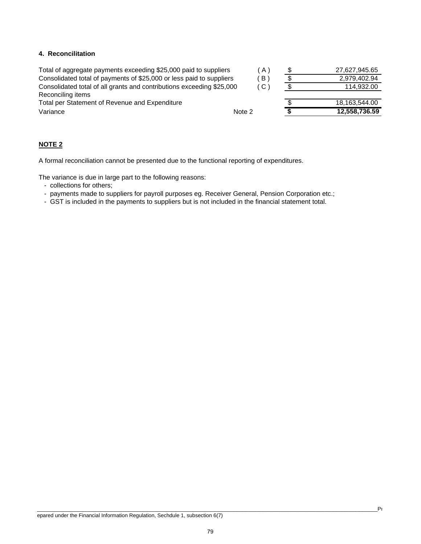# **4. Reconcilitation**

| Total of aggregate payments exceeding \$25,000 paid to suppliers      |        | $A$ ) | 27,627,945.65 |
|-----------------------------------------------------------------------|--------|-------|---------------|
| Consolidated total of payments of \$25,000 or less paid to suppliers  |        | B     | 2.979.402.94  |
| Consolidated total of all grants and contributions exceeding \$25,000 |        | (C)   | 114.932.00    |
| Reconciling items                                                     |        |       |               |
| Total per Statement of Revenue and Expenditure                        |        |       | 18,163,544.00 |
| Variance                                                              | Note 2 |       | 12,558,736.59 |
|                                                                       |        |       |               |

# **NOTE 2**

A formal reconciliation cannot be presented due to the functional reporting of expenditures.

The variance is due in large part to the following reasons:

- collections for others;
- payments made to suppliers for payroll purposes eg. Receiver General, Pension Corporation etc.;
- GST is included in the payments to suppliers but is not included in the financial statement total.